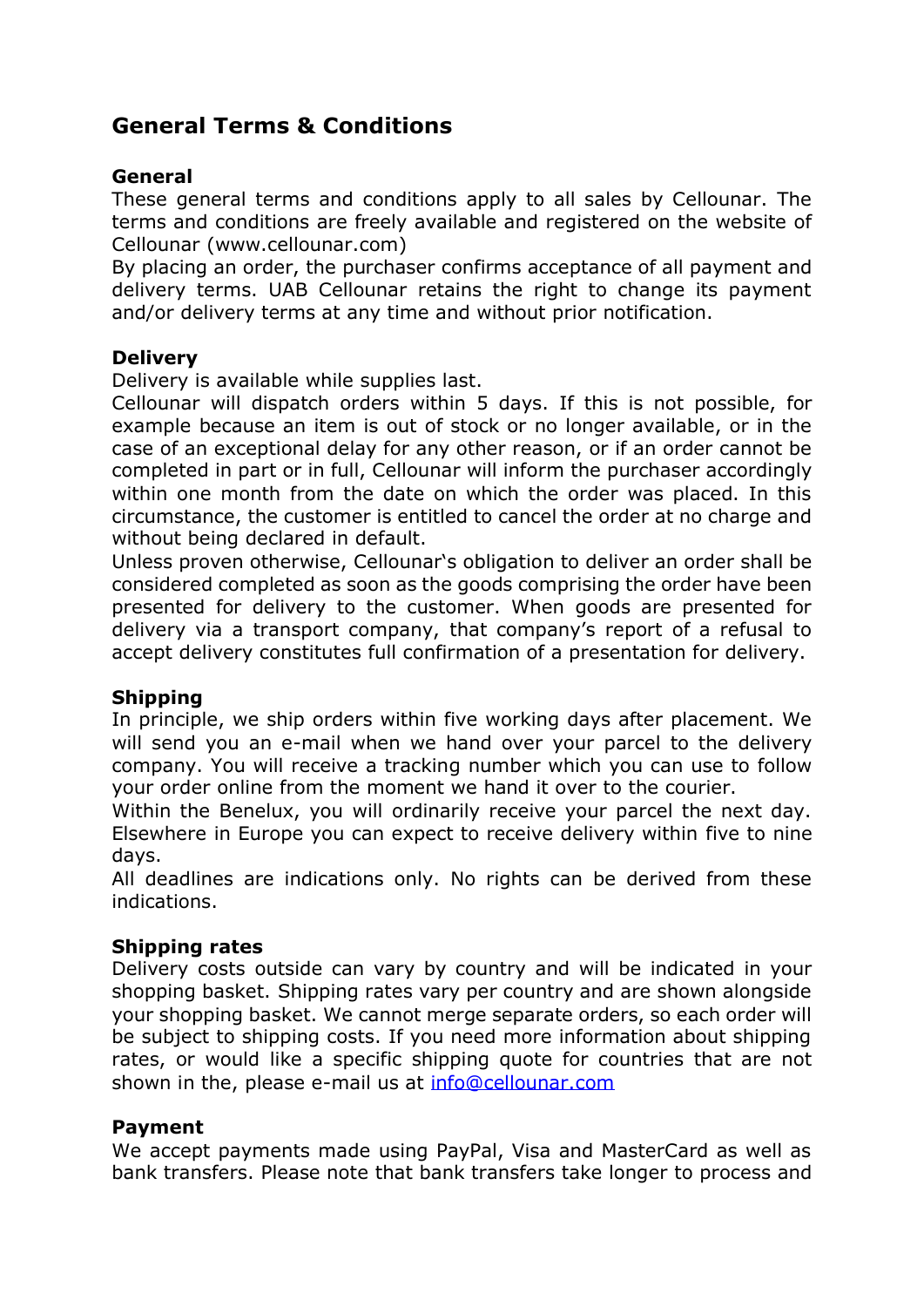# **General Terms & Conditions**

### **General**

These general terms and conditions apply to all sales by Cellounar. The terms and conditions are freely available and registered on the website of Cellounar (www.cellounar.com)

By placing an order, the purchaser confirms acceptance of all payment and delivery terms. UAB Cellounar retains the right to change its payment and/or delivery terms at any time and without prior notification.

### **Delivery**

Delivery is available while supplies last.

Cellounar will dispatch orders within 5 days. If this is not possible, for example because an item is out of stock or no longer available, or in the case of an exceptional delay for any other reason, or if an order cannot be completed in part or in full, Cellounar will inform the purchaser accordingly within one month from the date on which the order was placed. In this circumstance, the customer is entitled to cancel the order at no charge and without being declared in default.

Unless proven otherwise, Cellounar's obligation to deliver an order shall be considered completed as soon as the goods comprising the order have been presented for delivery to the customer. When goods are presented for delivery via a transport company, that company's report of a refusal to accept delivery constitutes full confirmation of a presentation for delivery.

### **Shipping**

In principle, we ship orders within five working days after placement. We will send you an e-mail when we hand over your parcel to the delivery company. You will receive a tracking number which you can use to follow your order online from the moment we hand it over to the courier.

Within the Benelux, you will ordinarily receive your parcel the next day. Elsewhere in Europe you can expect to receive delivery within five to nine days.

All deadlines are indications only. No rights can be derived from these indications.

#### **Shipping rates**

Delivery costs outside can vary by country and will be indicated in your shopping basket. Shipping rates vary per country and are shown alongside your shopping basket. We cannot merge separate orders, so each order will be subject to shipping costs. If you need more information about shipping rates, or would like a specific shipping quote for countries that are not shown in the, please e-mail us at [info@cellounar.com](mailto:info@cellounar.com)

#### **Payment**

We accept payments made using PayPal, Visa and MasterCard as well as bank transfers. Please note that bank transfers take longer to process and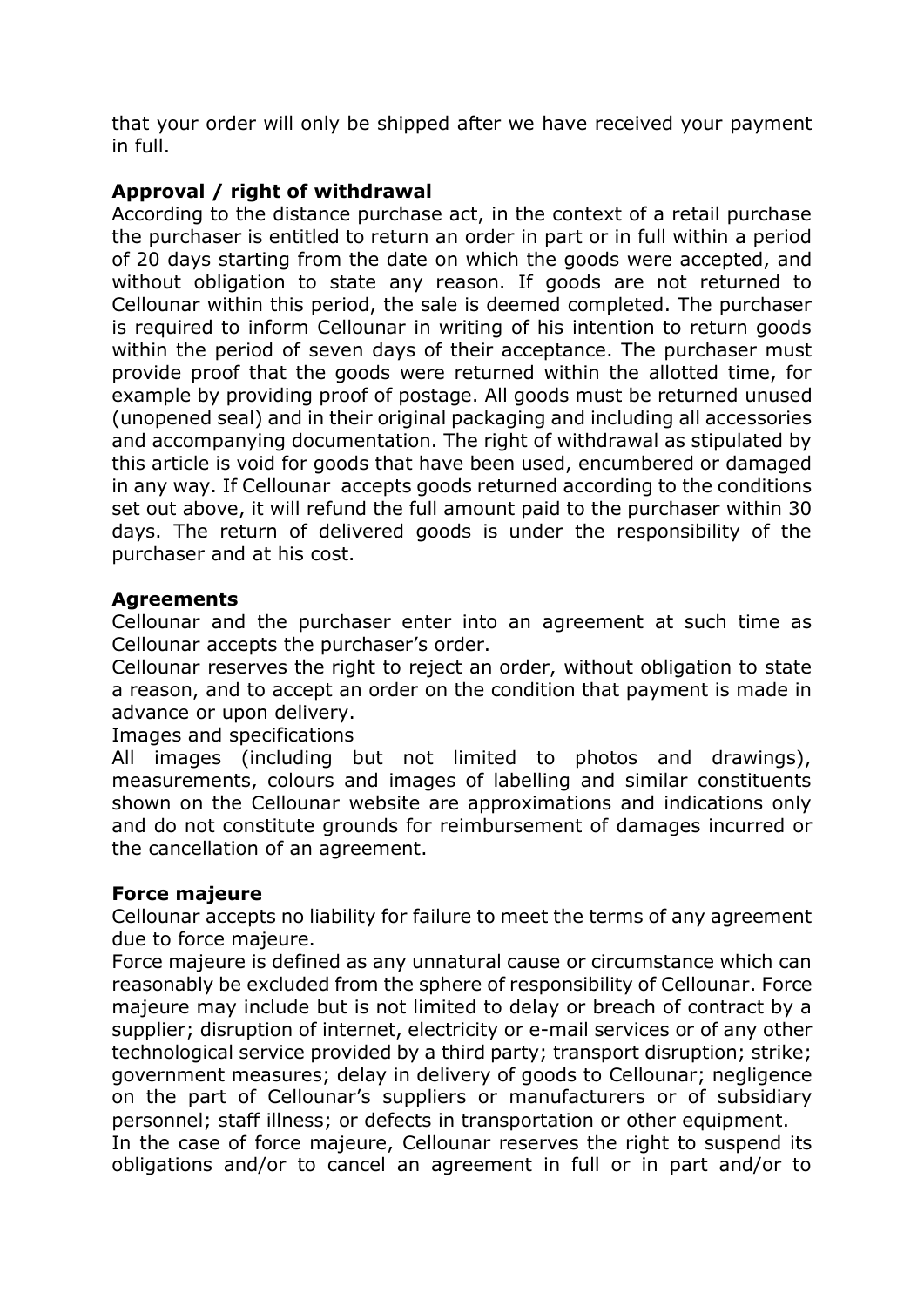that your order will only be shipped after we have received your payment in full.

## **Approval / right of withdrawal**

According to the distance purchase act, in the context of a retail purchase the purchaser is entitled to return an order in part or in full within a period of 20 days starting from the date on which the goods were accepted, and without obligation to state any reason. If goods are not returned to Cellounar within this period, the sale is deemed completed. The purchaser is required to inform Cellounar in writing of his intention to return goods within the period of seven days of their acceptance. The purchaser must provide proof that the goods were returned within the allotted time, for example by providing proof of postage. All goods must be returned unused (unopened seal) and in their original packaging and including all accessories and accompanying documentation. The right of withdrawal as stipulated by this article is void for goods that have been used, encumbered or damaged in any way. If Cellounar accepts goods returned according to the conditions set out above, it will refund the full amount paid to the purchaser within 30 days. The return of delivered goods is under the responsibility of the purchaser and at his cost.

### **Agreements**

Cellounar and the purchaser enter into an agreement at such time as Cellounar accepts the purchaser's order.

Cellounar reserves the right to reject an order, without obligation to state a reason, and to accept an order on the condition that payment is made in advance or upon delivery.

Images and specifications

All images (including but not limited to photos and drawings), measurements, colours and images of labelling and similar constituents shown on the Cellounar website are approximations and indications only and do not constitute grounds for reimbursement of damages incurred or the cancellation of an agreement.

### **Force majeure**

Cellounar accepts no liability for failure to meet the terms of any agreement due to force majeure.

Force majeure is defined as any unnatural cause or circumstance which can reasonably be excluded from the sphere of responsibility of Cellounar. Force majeure may include but is not limited to delay or breach of contract by a supplier; disruption of internet, electricity or e-mail services or of any other technological service provided by a third party; transport disruption; strike; government measures; delay in delivery of goods to Cellounar; negligence on the part of Cellounar's suppliers or manufacturers or of subsidiary personnel; staff illness; or defects in transportation or other equipment.

In the case of force majeure, Cellounar reserves the right to suspend its obligations and/or to cancel an agreement in full or in part and/or to